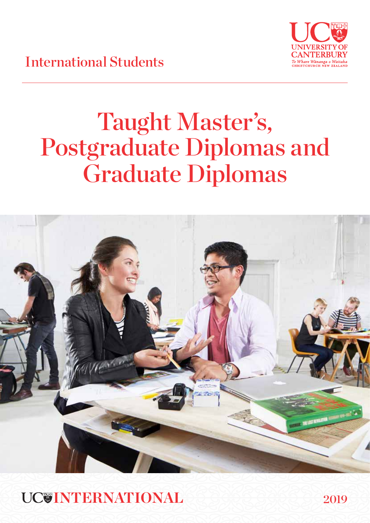

International Students

# Taught Master's, Postgraduate Diplomas and Graduate Diplomas



**INTERNATIONAL**

2019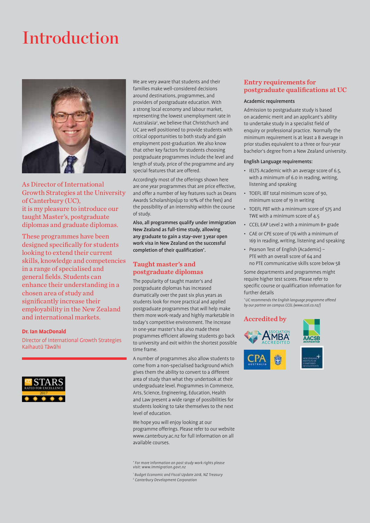# Introduction



As Director of International Growth Strategies at the University of Canterbury (UC), it is my pleasure to introduce our taught Master's, postgraduate diplomas and graduate diplomas.

These programmes have been designed specifically for students looking to extend their current skills, knowledge and competencies in a range of specialised and general fields. Students can enhance their understanding in a chosen area of study and significantly increase their employability in the New Zealand and international markets.

#### **Dr. Ian MacDonald**

Director of International Growth Strategies Kaihautū Tāwāhi



We are very aware that students and their families make well-considered decisions around destinations, programmes, and providers of postgraduate education. With a strong local economy and labour market, representing the lowest unemployment rate in Australasia<sup>2</sup>, we believe that Christchurch and UC are well positioned to provide students with critical opportunities to both study and gain employment post-graduation. We also know that other key factors for students choosing postgraduate programmes include the level and length of study, price of the programme and any special features that are offered.

Accordingly most of the offerings shown here are one year programmes that are price effective, and offer a number of key features such as Deans Awards Scholarships(up to 10% of the fees) and the possibility of an internship within the course of study.

Also, all programmes qualify under immigration New Zealand as full-time study, allowing any graduate to gain a stay-over 3 year open work visa in New Zealand on the successful completion of their qualification\* .

#### Taught master's and postgraduate diplomas

The popularity of taught master's and postgraduate diplomas has increased dramatically over the past six plus years as students look for more practical and applied postgraduate programmes that will help make them more work-ready and highly marketable in today's competitive environment. The increase in one-year master's has also made these programmes efficient allowing students go back to university and exit within the shortest possible time frame.

A number of programmes also allow students to come from a non-specialised background which gives them the ability to convert to a different area of study than what they undertook at their undergraduate level. Programmes in Commerce, Arts, Science, Engineering, Education, Health and Law present a wide range of possibilities for students looking to take themselves to the next level of education.

We hope you will enjoy looking at our programme offerings. Please refer to our website www.canterbury.ac.nz for full information on all available courses.

\* For more information on post study work rights please visit: www.immigration.govt.nz

1 Budget Economic and Fiscal Update 2018, NZ Treasury 2 Canterbury Development Corporation

### Entry requirements for postgraduate qualifications at UC

#### Academic requirements

Admission to postgraduate study is based on academic merit and an applicant's ability to undertake study in a specialist field of enquiry or professional practice. Normally the minimum requirement is at least a B average in prior studies equivalent to a three or four-year bachelor's degree from a New Zealand university.

#### English Language requirements:

- IELTS Academic with an average score of 6.5, with a minimum of 6.0 in reading, writing, listening and speaking
- TOEFL iBT total minimum score of 90, minimum score of 19 in writing
- TOEFL PBT with a minimum score of 575 and TWE with a minimum score of 4.5
- CCEL EAP Level 2 with a minimum B+ grade
- CAE or CPE score of 176 with a minimum of 169 in reading, writing, listening and speaking
- Pearson Test of English (Academic) PTE with an overall score of 64 and no PTE communicative skills score below 58

Some departments and programmes might require higher test scores. Please refer to specific course or qualification information for further details

\* UC recommends the English language programme offered by our partner on campus CCEL (www.ccel.co.nz/)

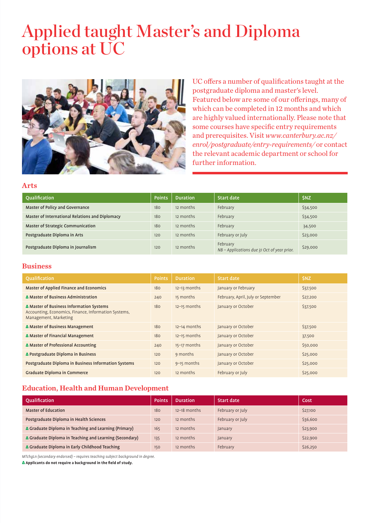# Applied taught Master's and Diploma options at UC



UC offers a number of qualifications taught at the postgraduate diploma and master's level. Featured below are some of our offerings, many of which can be completed in 12 months and which are highly valued internationally. Please note that some courses have specific entry requirements and prerequisites. Visit *www.canterbury.ac.nz/ enrol/postgraduate/entry-requirements/* or contact the relevant academic department or school for further information.

#### Arts

| Oualification                                   | <b>Points</b> | <b>Duration</b> | <b>Start date</b>                                       | <b>SNZ</b> |
|-------------------------------------------------|---------------|-----------------|---------------------------------------------------------|------------|
| Master of Policy and Governance                 | 180           | 12 months       | February                                                | \$34,500   |
| Master of International Relations and Diplomacy | 180           | 12 months       | February                                                | \$34,500   |
| <b>Master of Strategic Communication</b>        | 180           | 12 months       | February                                                | 34,500     |
| Postgraduate Diploma in Arts                    | 120           | 12 months       | February or July                                        | \$23,000   |
| Postgraduate Diploma in Journalism              | 120           | 12 months       | February<br>NB - Applications due 31 Oct of year prior. | \$29,000   |

### Business

| <b>Oualification</b>                                                                                                      | <b>Points</b> | <b>Duration</b> | <b>Start date</b>                  | <b>SNZ</b> |
|---------------------------------------------------------------------------------------------------------------------------|---------------|-----------------|------------------------------------|------------|
| Master of Applied Finance and Economics                                                                                   | 180           | 12-13 months    | January or February                | \$37,500   |
| A Master of Business Administration                                                                                       | 240           | 15 months       | February, April, July or September | \$27,200   |
| A Master of Business Information Systems<br>Accounting, Economics, Finance, Information Systems,<br>Management, Marketing | 180           | 12-15 months    | January or October                 | \$37,500   |
| △ Master of Business Management                                                                                           | 180           | 12-14 months    | January or October                 | \$37,500   |
| A Master of Financial Management                                                                                          | 180           | $12-15$ months  | January or October                 | 37,500     |
| A Master of Professional Accounting                                                                                       | 240           | 15-17 months    | January or October                 | \$50,000   |
| △ Postgraduate Diploma in Business                                                                                        | 120           | 9 months        | January or October                 | \$25,000   |
| Postgraduate Diploma in Business Information Systems                                                                      | 120           | 9-15 months     | January or October                 | \$25,000   |
| <b>Graduate Diploma in Commerce</b>                                                                                       | 120           | 12 months       | February or July                   | \$25,000   |

# Education, Health and Human Development

| Oualification                                           | <b>Points</b> | <b>Duration</b> | Start date       | Cost     |
|---------------------------------------------------------|---------------|-----------------|------------------|----------|
| <b>Master of Education</b>                              | 180           | $12-18$ months  | February or July | \$27,100 |
| Postgraduate Diploma in Health Sciences                 | 120           | 12 months       | February or July | \$36,600 |
| A Graduate Diploma in Teaching and Learning (Primary)   | 165           | 12 months       | January          | \$23,900 |
| A Graduate Diploma in Teaching and Learning (Secondary) | 135           | 12 months       | January          | \$22,900 |
| A Graduate Diploma in Early Childhood Teaching          | 150           | 12 months       | February         | \$26,250 |

MTchgLn (secondary endorsed) – requires teaching subject background in degree.

Δ **Applicants do not require a background in the field of study.**